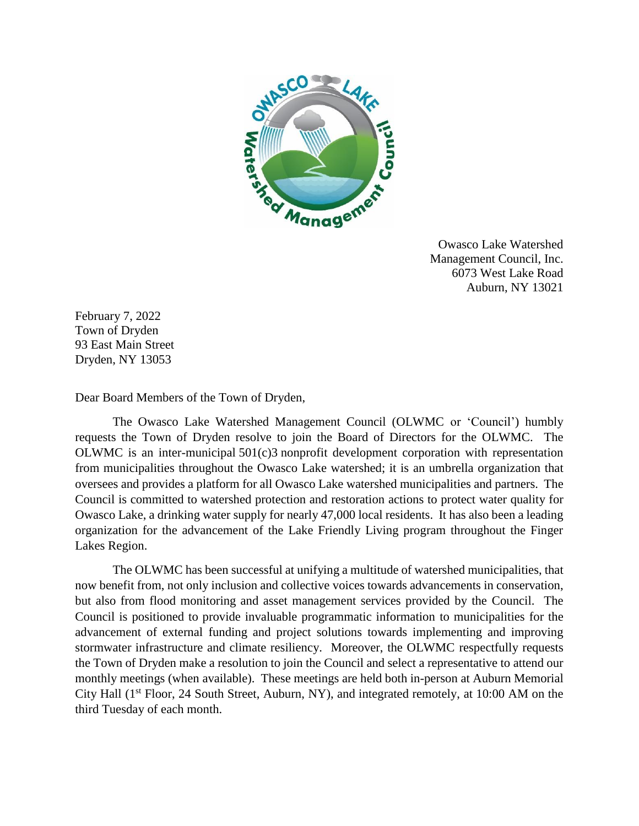

Owasco Lake Watershed Management Council, Inc. 6073 West Lake Road Auburn, NY 13021

February 7, 2022 Town of Dryden 93 East Main Street Dryden, NY 13053

Dear Board Members of the Town of Dryden,

The Owasco Lake Watershed Management Council (OLWMC or 'Council') humbly requests the Town of Dryden resolve to join the Board of Directors for the OLWMC. The OLWMC is an inter-municipal 501(c)3 nonprofit development corporation with representation from municipalities throughout the Owasco Lake watershed; it is an umbrella organization that oversees and provides a platform for all Owasco Lake watershed municipalities and partners. The Council is committed to watershed protection and restoration actions to protect water quality for Owasco Lake, a drinking water supply for nearly 47,000 local residents. It has also been a leading organization for the advancement of the Lake Friendly Living program throughout the Finger Lakes Region.

The OLWMC has been successful at unifying a multitude of watershed municipalities, that now benefit from, not only inclusion and collective voices towards advancements in conservation, but also from flood monitoring and asset management services provided by the Council. The Council is positioned to provide invaluable programmatic information to municipalities for the advancement of external funding and project solutions towards implementing and improving stormwater infrastructure and climate resiliency. Moreover, the OLWMC respectfully requests the Town of Dryden make a resolution to join the Council and select a representative to attend our monthly meetings (when available). These meetings are held both in-person at Auburn Memorial City Hall (1st Floor, 24 South Street, Auburn, NY), and integrated remotely, at 10:00 AM on the third Tuesday of each month.